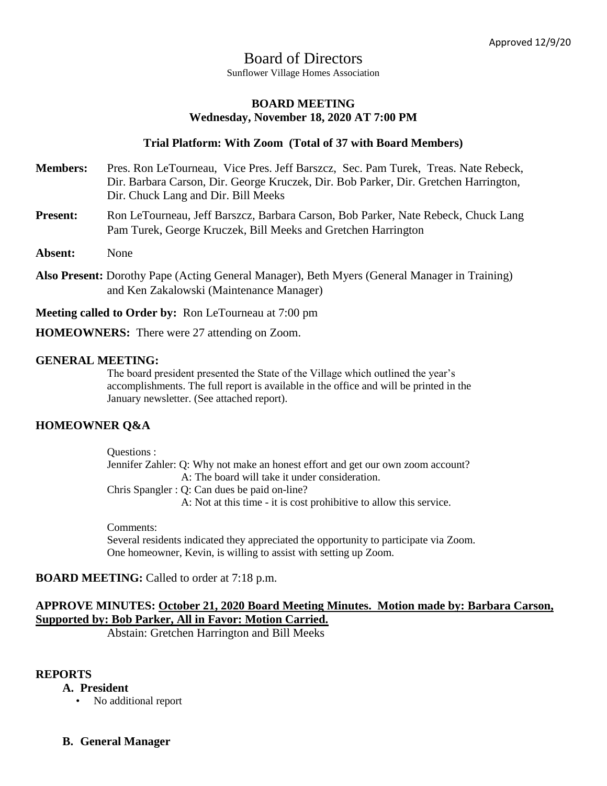# Board of Directors Sunflower Village Homes Association

# **BOARD MEETING Wednesday, November 18, 2020 AT 7:00 PM**

# **Trial Platform: With Zoom (Total of 37 with Board Members)**

- **Members:** Pres. Ron LeTourneau, Vice Pres. Jeff Barszcz, Sec. Pam Turek, Treas. Nate Rebeck, Dir. Barbara Carson, Dir. George Kruczek, Dir. Bob Parker, Dir. Gretchen Harrington, Dir. Chuck Lang and Dir. Bill Meeks
- Present: Ron LeTourneau, Jeff Barszcz, Barbara Carson, Bob Parker, Nate Rebeck, Chuck Lang Pam Turek, George Kruczek, Bill Meeks and Gretchen Harrington
- **Absent:** None
- **Also Present:** Dorothy Pape (Acting General Manager), Beth Myers (General Manager in Training) and Ken Zakalowski (Maintenance Manager)

**Meeting called to Order by:** Ron LeTourneau at 7:00 pm

**HOMEOWNERS:** There were 27 attending on Zoom.

### **GENERAL MEETING:**

The board president presented the State of the Village which outlined the year's accomplishments. The full report is available in the office and will be printed in the January newsletter. (See attached report).

# **HOMEOWNER Q&A**

Questions : Jennifer Zahler: Q: Why not make an honest effort and get our own zoom account? A: The board will take it under consideration. Chris Spangler : Q: Can dues be paid on-line?

A: Not at this time - it is cost prohibitive to allow this service.

Comments: Several residents indicated they appreciated the opportunity to participate via Zoom. One homeowner, Kevin, is willing to assist with setting up Zoom.

# **BOARD MEETING:** Called to order at 7:18 p.m.

# **APPROVE MINUTES: October 21, 2020 Board Meeting Minutes. Motion made by: Barbara Carson, Supported by: Bob Parker, All in Favor: Motion Carried.**

Abstain: Gretchen Harrington and Bill Meeks

#### **REPORTS**

- **A. President**
	- No additional report
- **B. General Manager**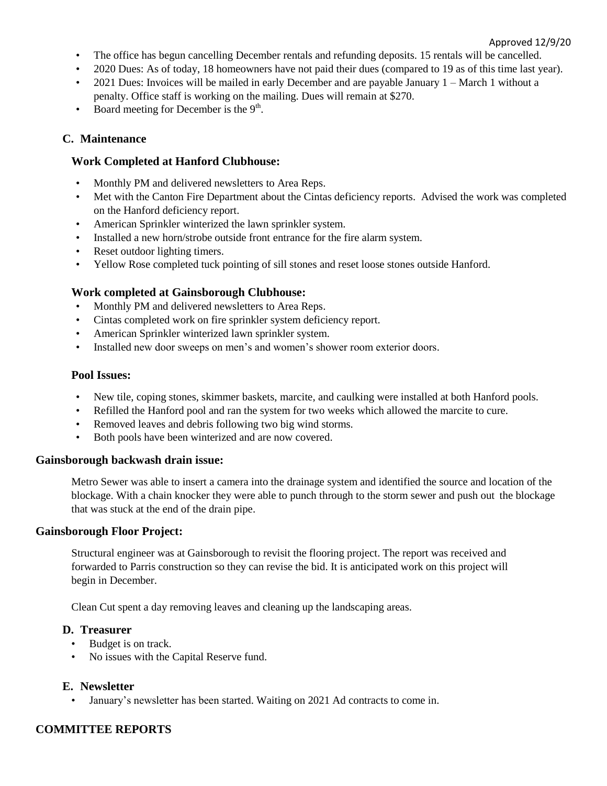#### Approved 12/9/20

- The office has begun cancelling December rentals and refunding deposits. 15 rentals will be cancelled.
- 2020 Dues: As of today, 18 homeowners have not paid their dues (compared to 19 as of this time last year).
- 2021 Dues: Invoices will be mailed in early December and are payable January 1 March 1 without a penalty. Office staff is working on the mailing. Dues will remain at \$270.
- Board meeting for December is the  $9<sup>th</sup>$ .

# **C. Maintenance**

# **Work Completed at Hanford Clubhouse:**

- Monthly PM and delivered newsletters to Area Reps.
- Met with the Canton Fire Department about the Cintas deficiency reports. Advised the work was completed on the Hanford deficiency report.
- American Sprinkler winterized the lawn sprinkler system.
- Installed a new horn/strobe outside front entrance for the fire alarm system.
- Reset outdoor lighting timers.
- Yellow Rose completed tuck pointing of sill stones and reset loose stones outside Hanford.

### **Work completed at Gainsborough Clubhouse:**

- Monthly PM and delivered newsletters to Area Reps.
- Cintas completed work on fire sprinkler system deficiency report.
- American Sprinkler winterized lawn sprinkler system.
- Installed new door sweeps on men's and women's shower room exterior doors.

#### **Pool Issues:**

- New tile, coping stones, skimmer baskets, marcite, and caulking were installed at both Hanford pools.
- Refilled the Hanford pool and ran the system for two weeks which allowed the marcite to cure.
- Removed leaves and debris following two big wind storms.
- Both pools have been winterized and are now covered.

#### **Gainsborough backwash drain issue:**

Metro Sewer was able to insert a camera into the drainage system and identified the source and location of the blockage. With a chain knocker they were able to punch through to the storm sewer and push out the blockage that was stuck at the end of the drain pipe.

#### **Gainsborough Floor Project:**

Structural engineer was at Gainsborough to revisit the flooring project. The report was received and forwarded to Parris construction so they can revise the bid. It is anticipated work on this project will begin in December.

Clean Cut spent a day removing leaves and cleaning up the landscaping areas.

# **D. Treasurer**

- Budget is on track.
- No issues with the Capital Reserve fund.

#### **E. Newsletter**

• January's newsletter has been started. Waiting on 2021 Ad contracts to come in.

# **COMMITTEE REPORTS**